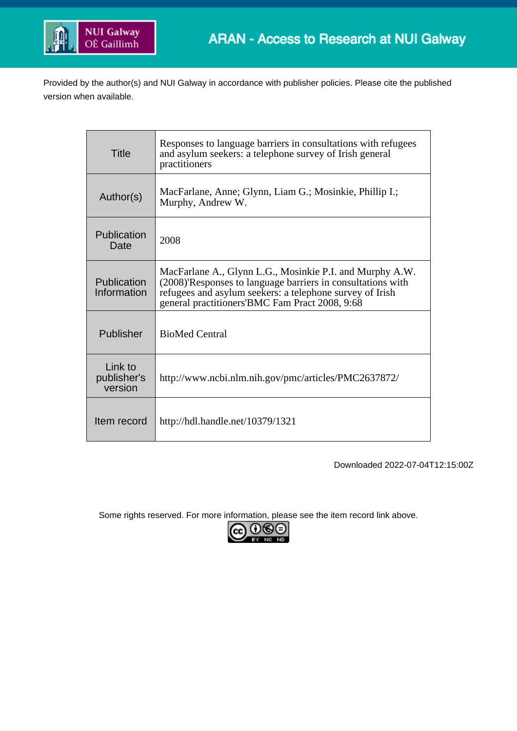

Provided by the author(s) and NUI Galway in accordance with publisher policies. Please cite the published version when available.

| Title                             | Responses to language barriers in consultations with refugees<br>and asylum seekers: a telephone survey of Irish general<br>practitioners                                                                                             |
|-----------------------------------|---------------------------------------------------------------------------------------------------------------------------------------------------------------------------------------------------------------------------------------|
| Author(s)                         | MacFarlane, Anne; Glynn, Liam G.; Mosinkie, Phillip I.;<br>Murphy, Andrew W.                                                                                                                                                          |
| Publication<br>Date               | 2008                                                                                                                                                                                                                                  |
| Publication<br>Information        | MacFarlane A., Glynn L.G., Mosinkie P.I. and Murphy A.W.<br>(2008)'Responses to language barriers in consultations with<br>refugees and asylum seekers: a telephone survey of Irish<br>general practitioners BMC Fam Pract 2008, 9:68 |
| Publisher                         | <b>BioMed Central</b>                                                                                                                                                                                                                 |
| Link to<br>publisher's<br>version | http://www.ncbi.nlm.nih.gov/pmc/articles/PMC2637872/                                                                                                                                                                                  |
| Item record                       | http://hdl.handle.net/10379/1321                                                                                                                                                                                                      |

Downloaded 2022-07-04T12:15:00Z

Some rights reserved. For more information, please see the item record link above.

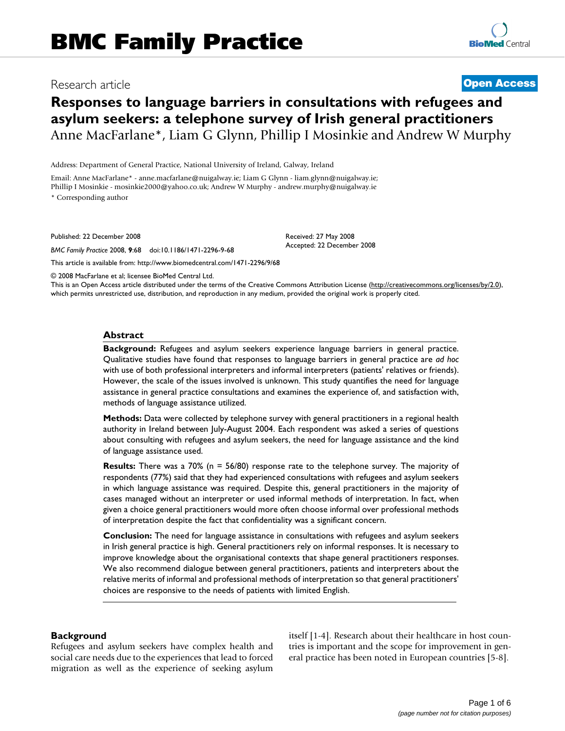# Research article **[Open Access](http://www.biomedcentral.com/info/about/charter/)**

# **Responses to language barriers in consultations with refugees and asylum seekers: a telephone survey of Irish general practitioners** Anne MacFarlane\*, Liam G Glynn, Phillip I Mosinkie and Andrew W Murphy

Received: 27 May 2008 Accepted: 22 December 2008

Address: Department of General Practice, National University of Ireland, Galway, Ireland

Email: Anne MacFarlane\* - anne.macfarlane@nuigalway.ie; Liam G Glynn - liam.glynn@nuigalway.ie; Phillip I Mosinkie - mosinkie2000@yahoo.co.uk; Andrew W Murphy - andrew.murphy@nuigalway.ie \* Corresponding author

Published: 22 December 2008

*BMC Family Practice* 2008, **9**:68 doi:10.1186/1471-2296-9-68

[This article is available from: http://www.biomedcentral.com/1471-2296/9/68](http://www.biomedcentral.com/1471-2296/9/68)

© 2008 MacFarlane et al; licensee BioMed Central Ltd. This is an Open Access article distributed under the terms of the Creative Commons Attribution License [\(http://creativecommons.org/licenses/by/2.0\)](http://creativecommons.org/licenses/by/2.0), which permits unrestricted use, distribution, and reproduction in any medium, provided the original work is properly cited.

#### **Abstract**

**Background:** Refugees and asylum seekers experience language barriers in general practice. Qualitative studies have found that responses to language barriers in general practice are *ad hoc* with use of both professional interpreters and informal interpreters (patients' relatives or friends). However, the scale of the issues involved is unknown. This study quantifies the need for language assistance in general practice consultations and examines the experience of, and satisfaction with, methods of language assistance utilized.

**Methods:** Data were collected by telephone survey with general practitioners in a regional health authority in Ireland between July-August 2004. Each respondent was asked a series of questions about consulting with refugees and asylum seekers, the need for language assistance and the kind of language assistance used.

**Results:** There was a 70% (n = 56/80) response rate to the telephone survey. The majority of respondents (77%) said that they had experienced consultations with refugees and asylum seekers in which language assistance was required. Despite this, general practitioners in the majority of cases managed without an interpreter or used informal methods of interpretation. In fact, when given a choice general practitioners would more often choose informal over professional methods of interpretation despite the fact that confidentiality was a significant concern.

**Conclusion:** The need for language assistance in consultations with refugees and asylum seekers in Irish general practice is high. General practitioners rely on informal responses. It is necessary to improve knowledge about the organisational contexts that shape general practitioners responses. We also recommend dialogue between general practitioners, patients and interpreters about the relative merits of informal and professional methods of interpretation so that general practitioners' choices are responsive to the needs of patients with limited English.

#### **Background**

Refugees and asylum seekers have complex health and social care needs due to the experiences that lead to forced migration as well as the experience of seeking asylum itself [\[1-](#page-5-0)[4](#page-6-0)]. Research about their healthcare in host countries is important and the scope for improvement in general practice has been noted in European countries [[5](#page-6-1)[-8\]](#page-6-2).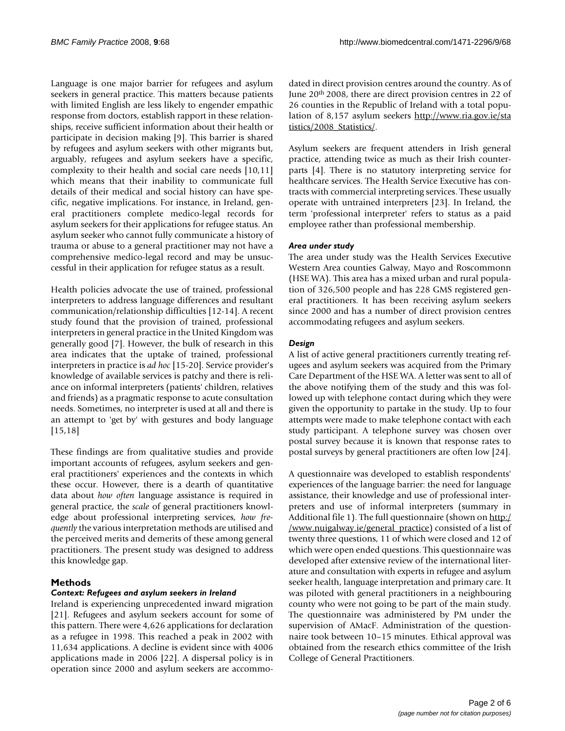Language is one major barrier for refugees and asylum seekers in general practice. This matters because patients with limited English are less likely to engender empathic response from doctors, establish rapport in these relationships, receive sufficient information about their health or participate in decision making [[9](#page-6-3)]. This barrier is shared by refugees and asylum seekers with other migrants but, arguably, refugees and asylum seekers have a specific, complexity to their health and social care needs [[10](#page-6-4),[11\]](#page-6-5) which means that their inability to communicate full details of their medical and social history can have specific, negative implications. For instance, in Ireland, general practitioners complete medico-legal records for asylum seekers for their applications for refugee status. An asylum seeker who cannot fully communicate a history of trauma or abuse to a general practitioner may not have a comprehensive medico-legal record and may be unsuccessful in their application for refugee status as a result.

Health policies advocate the use of trained, professional interpreters to address language differences and resultant communication/relationship difficulties [\[12](#page-6-6)[-14](#page-6-7)]. A recent study found that the provision of trained, professional interpreters in general practice in the United Kingdom was generally good [\[7](#page-6-8)]. However, the bulk of research in this area indicates that the uptake of trained, professional interpreters in practice is *ad hoc* [\[15](#page-6-9)[-20](#page-6-10)]. Service provider's knowledge of available services is patchy and there is reliance on informal interpreters (patients' children, relatives and friends) as a pragmatic response to acute consultation needs. Sometimes, no interpreter is used at all and there is an attempt to 'get by' with gestures and body language [[15](#page-6-9),[18\]](#page-6-11)

These findings are from qualitative studies and provide important accounts of refugees, asylum seekers and general practitioners' experiences and the contexts in which these occur. However, there is a dearth of quantitative data about *how often* language assistance is required in general practice, the *scale* of general practitioners knowledge about professional interpreting services, *how frequently* the various interpretation methods are utilised and the perceived merits and demerits of these among general practitioners. The present study was designed to address this knowledge gap.

#### **Methods**

#### *Context: Refugees and asylum seekers in Ireland*

Ireland is experiencing unprecedented inward migration [[21](#page-6-12)]. Refugees and asylum seekers account for some of this pattern. There were 4,626 applications for declaration as a refugee in 1998. This reached a peak in 2002 with 11,634 applications. A decline is evident since with 4006 applications made in 2006 [[22\]](#page-6-13). A dispersal policy is in operation since 2000 and asylum seekers are accommodated in direct provision centres around the country. As of June 20th 2008, there are direct provision centres in 22 of 26 counties in the Republic of Ireland with a total population of 8,157 asylum seekers [http://www.ria.gov.ie/sta](http://www.ria.gov.ie/statistics/2008_Statistics/) [tistics/2008\\_Statistics/.](http://www.ria.gov.ie/statistics/2008_Statistics/)

Asylum seekers are frequent attenders in Irish general practice, attending twice as much as their Irish counterparts [[4](#page-6-0)]. There is no statutory interpreting service for healthcare services. The Health Service Executive has contracts with commercial interpreting services. These usually operate with untrained interpreters [\[23\]](#page-6-14). In Ireland, the term 'professional interpreter' refers to status as a paid employee rather than professional membership.

#### *Area under study*

The area under study was the Health Services Executive Western Area counties Galway, Mayo and Roscommonn (HSE WA). This area has a mixed urban and rural population of 326,500 people and has 228 GMS registered general practitioners. It has been receiving asylum seekers since 2000 and has a number of direct provision centres accommodating refugees and asylum seekers.

#### *Design*

A list of active general practitioners currently treating refugees and asylum seekers was acquired from the Primary Care Department of the HSE WA. A letter was sent to all of the above notifying them of the study and this was followed up with telephone contact during which they were given the opportunity to partake in the study. Up to four attempts were made to make telephone contact with each study participant. A telephone survey was chosen over postal survey because it is known that response rates to postal surveys by general practitioners are often low [[24](#page-6-15)].

A questionnaire was developed to establish respondents' experiences of the language barrier: the need for language assistance, their knowledge and use of professional interpreters and use of informal interpreters (summary in Additional file [1\)](#page-5-1). The full questionnaire (shown on [http:/](http://www.nuigalway.ie/general_practice) [/www.nuigalway.ie/general\\_practice](http://www.nuigalway.ie/general_practice)) consisted of a list of twenty three questions, 11 of which were closed and 12 of which were open ended questions. This questionnaire was developed after extensive review of the international literature and consultation with experts in refugee and asylum seeker health, language interpretation and primary care. It was piloted with general practitioners in a neighbouring county who were not going to be part of the main study. The questionnaire was administered by PM under the supervision of AMacF. Administration of the questionnaire took between 10–15 minutes. Ethical approval was obtained from the research ethics committee of the Irish College of General Practitioners.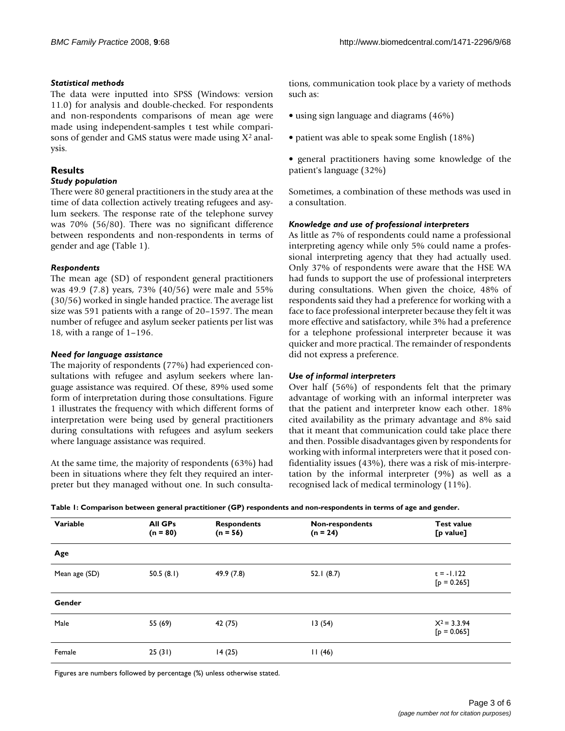#### *Statistical methods*

The data were inputted into SPSS (Windows: version 11.0) for analysis and double-checked. For respondents and non-respondents comparisons of mean age were made using independent-samples t test while comparisons of gender and GMS status were made using Χ2 analysis.

### **Results**

#### *Study population*

There were 80 general practitioners in the study area at the time of data collection actively treating refugees and asylum seekers. The response rate of the telephone survey was 70% (56/80). There was no significant difference between respondents and non-respondents in terms of gender and age (Table [1\)](#page-3-0).

#### *Respondents*

The mean age (SD) of respondent general practitioners was 49.9 (7.8) years, 73% (40/56) were male and 55% (30/56) worked in single handed practice. The average list size was 591 patients with a range of 20–1597. The mean number of refugee and asylum seeker patients per list was 18, with a range of 1–196.

#### *Need for language assistance*

The majority of respondents (77%) had experienced consultations with refugee and asylum seekers where language assistance was required. Of these, 89% used some form of interpretation during those consultations. Figure [1](#page-4-0) illustrates the frequency with which different forms of interpretation were being used by general practitioners during consultations with refugees and asylum seekers where language assistance was required.

At the same time, the majority of respondents (63%) had been in situations where they felt they required an interpreter but they managed without one. In such consultations, communication took place by a variety of methods such as:

- using sign language and diagrams (46%)
- patient was able to speak some English (18%)
- general practitioners having some knowledge of the patient's language (32%)

Sometimes, a combination of these methods was used in a consultation.

#### *Knowledge and use of professional interpreters*

As little as 7% of respondents could name a professional interpreting agency while only 5% could name a professional interpreting agency that they had actually used. Only 37% of respondents were aware that the HSE WA had funds to support the use of professional interpreters during consultations. When given the choice, 48% of respondents said they had a preference for working with a face to face professional interpreter because they felt it was more effective and satisfactory, while 3% had a preference for a telephone professional interpreter because it was quicker and more practical. The remainder of respondents did not express a preference.

#### *Use of informal interpreters*

Over half (56%) of respondents felt that the primary advantage of working with an informal interpreter was that the patient and interpreter know each other. 18% cited availability as the primary advantage and 8% said that it meant that communication could take place there and then. Possible disadvantages given by respondents for working with informal interpreters were that it posed confidentiality issues (43%), there was a risk of mis-interpretation by the informal interpreter (9%) as well as a recognised lack of medical terminology (11%).

<span id="page-3-0"></span>

|  |  | Table 1: Comparison between general practitioner (GP) respondents and non-respondents in terms of age and gender. |  |
|--|--|-------------------------------------------------------------------------------------------------------------------|--|
|--|--|-------------------------------------------------------------------------------------------------------------------|--|

| Variable      | All GPs<br>$(n = 80)$ | <b>Respondents</b><br>$(n = 56)$ | Non-respondents<br>$(n = 24)$ | <b>Test value</b><br>[p value]  |
|---------------|-----------------------|----------------------------------|-------------------------------|---------------------------------|
| Age           |                       |                                  |                               |                                 |
| Mean age (SD) | 50.5(8.1)             | 49.9 (7.8)                       | 52.1 $(8.7)$                  | $t = -1.122$<br>$[p = 0.265]$   |
| Gender        |                       |                                  |                               |                                 |
| Male          | 55 (69)               | 42 (75)                          | 13(54)                        | $X^2 = 3.3.94$<br>$[p = 0.065]$ |
| Female        | 25(31)                | 14(25)                           | 11(46)                        |                                 |

Figures are numbers followed by percentage (%) unless otherwise stated.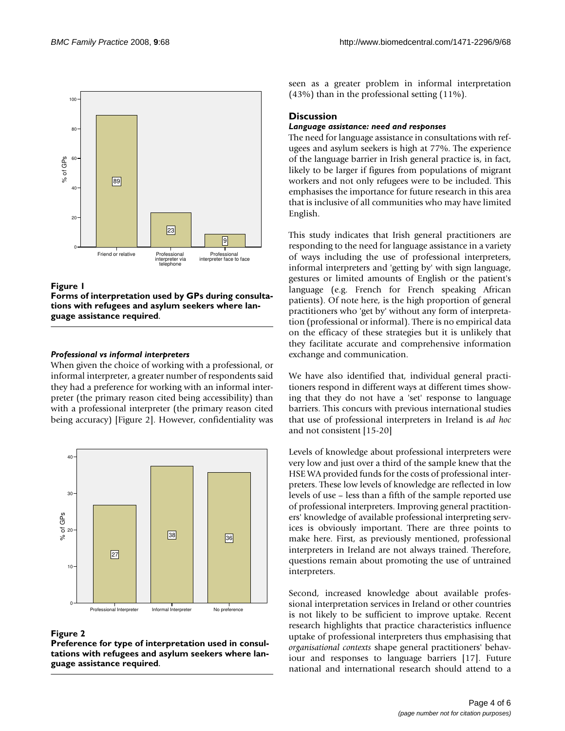<span id="page-4-0"></span>



**Forms of interpretation used by GPs during consultations with refugees and asylum seekers where language assistance required**.

#### *Professional vs informaI interpreters*

When given the choice of working with a professional, or informal interpreter, a greater number of respondents said they had a preference for working with an informal interpreter (the primary reason cited being accessibility) than with a professional interpreter (the primary reason cited being accuracy) [Figure [2\]](#page-4-1). However, confidentiality was

<span id="page-4-1"></span>

#### **Figure 2**

**Preference for type of interpretation used in consultations with refugees and asylum seekers where language assistance required**.

seen as a greater problem in informal interpretation (43%) than in the professional setting (11%).

### **Discussion**

#### *Language assistance: need and responses*

The need for language assistance in consultations with refugees and asylum seekers is high at 77%. The experience of the language barrier in Irish general practice is, in fact, likely to be larger if figures from populations of migrant workers and not only refugees were to be included. This emphasises the importance for future research in this area that is inclusive of all communities who may have limited English.

This study indicates that Irish general practitioners are responding to the need for language assistance in a variety of ways including the use of professional interpreters, informal interpreters and 'getting by' with sign language, gestures or limited amounts of English or the patient's language (e.g. French for French speaking African patients). Of note here, is the high proportion of general practitioners who 'get by' without any form of interpretation (professional or informal). There is no empirical data on the efficacy of these strategies but it is unlikely that they facilitate accurate and comprehensive information exchange and communication.

We have also identified that, individual general practitioners respond in different ways at different times showing that they do not have a 'set' response to language barriers. This concurs with previous international studies that use of professional interpreters in Ireland is *ad hoc* and not consistent [[15-](#page-6-9)[20\]](#page-6-10)

Levels of knowledge about professional interpreters were very low and just over a third of the sample knew that the HSE WA provided funds for the costs of professional interpreters. These low levels of knowledge are reflected in low levels of use – less than a fifth of the sample reported use of professional interpreters. Improving general practitioners' knowledge of available professional interpreting services is obviously important. There are three points to make here. First, as previously mentioned, professional interpreters in Ireland are not always trained. Therefore, questions remain about promoting the use of untrained interpreters.

Second, increased knowledge about available professional interpretation services in Ireland or other countries is not likely to be sufficient to improve uptake. Recent research highlights that practice characteristics influence uptake of professional interpreters thus emphasising that *organisational contexts* shape general practitioners' behaviour and responses to language barriers [\[17](#page-6-16)]. Future national and international research should attend to a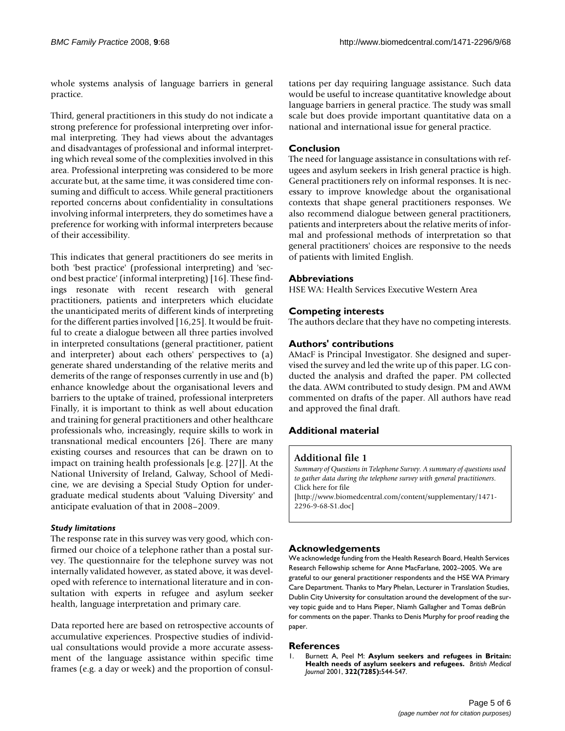whole systems analysis of language barriers in general practice.

Third, general practitioners in this study do not indicate a strong preference for professional interpreting over informal interpreting. They had views about the advantages and disadvantages of professional and informal interpreting which reveal some of the complexities involved in this area. Professional interpreting was considered to be more accurate but, at the same time, it was considered time consuming and difficult to access. While general practitioners reported concerns about confidentiality in consultations involving informal interpreters, they do sometimes have a preference for working with informal interpreters because of their accessibility.

This indicates that general practitioners do see merits in both 'best practice' (professional interpreting) and 'second best practice' (informal interpreting) [\[16](#page-6-17)]. These findings resonate with recent research with general practitioners, patients and interpreters which elucidate the unanticipated merits of different kinds of interpreting for the different parties involved [[16](#page-6-17)[,25](#page-6-18)]. It would be fruitful to create a dialogue between all three parties involved in interpreted consultations (general practitioner, patient and interpreter) about each others' perspectives to (a) generate shared understanding of the relative merits and demerits of the range of responses currently in use and (b) enhance knowledge about the organisational levers and barriers to the uptake of trained, professional interpreters Finally, it is important to think as well about education and training for general practitioners and other healthcare professionals who, increasingly, require skills to work in transnational medical encounters [[26\]](#page-6-19). There are many existing courses and resources that can be drawn on to impact on training health professionals [e.g. [[27\]](#page-6-20)]. At the National University of Ireland, Galway, School of Medicine, we are devising a Special Study Option for undergraduate medical students about 'Valuing Diversity' and anticipate evaluation of that in 2008–2009.

#### *Study limitations*

The response rate in this survey was very good, which confirmed our choice of a telephone rather than a postal survey. The questionnaire for the telephone survey was not internally validated however, as stated above, it was developed with reference to international literature and in consultation with experts in refugee and asylum seeker health, language interpretation and primary care.

Data reported here are based on retrospective accounts of accumulative experiences. Prospective studies of individual consultations would provide a more accurate assessment of the language assistance within specific time frames (e.g. a day or week) and the proportion of consultations per day requiring language assistance. Such data would be useful to increase quantitative knowledge about language barriers in general practice. The study was small scale but does provide important quantitative data on a national and international issue for general practice.

### **Conclusion**

The need for language assistance in consultations with refugees and asylum seekers in Irish general practice is high. General practitioners rely on informal responses. It is necessary to improve knowledge about the organisational contexts that shape general practitioners responses. We also recommend dialogue between general practitioners, patients and interpreters about the relative merits of informal and professional methods of interpretation so that general practitioners' choices are responsive to the needs of patients with limited English.

# **Abbreviations**

HSE WA: Health Services Executive Western Area

# **Competing interests**

The authors declare that they have no competing interests.

#### **Authors' contributions**

AMacF is Principal Investigator. She designed and supervised the survey and led the write up of this paper. LG conducted the analysis and drafted the paper. PM collected the data. AWM contributed to study design. PM and AWM commented on drafts of the paper. All authors have read and approved the final draft.

# **Additional material**

#### <span id="page-5-1"></span>**Additional file 1**

*Summary of Questions in Telephone Survey. A summary of questions used to gather data during the telephone survey with general practitioners.* Click here for file [\[http://www.biomedcentral.com/content/supplementary/1471-](http://www.biomedcentral.com/content/supplementary/1471-2296-9-68-S1.doc) 2296-9-68-S1.doc]

#### **Acknowledgements**

We acknowledge funding from the Health Research Board, Health Services Research Fellowship scheme for Anne MacFarlane, 2002–2005. We are grateful to our general practitioner respondents and the HSE WA Primary Care Department. Thanks to Mary Phelan, Lecturer in Translation Studies, Dublin City University for consultation around the development of the survey topic guide and to Hans Pieper, Niamh Gallagher and Tomas deBrún for comments on the paper. Thanks to Denis Murphy for proof reading the paper.

#### **References**

<span id="page-5-0"></span>1. Burnett A, Peel M: **[Asylum seekers and refugees in Britain:](http://www.ncbi.nlm.nih.gov/entrez/query.fcgi?cmd=Retrieve&db=PubMed&dopt=Abstract&list_uids=11230074) [Health needs of asylum seekers and refugees.](http://www.ncbi.nlm.nih.gov/entrez/query.fcgi?cmd=Retrieve&db=PubMed&dopt=Abstract&list_uids=11230074)** *British Medical Journal* 2001, **322(7285):**544-547.